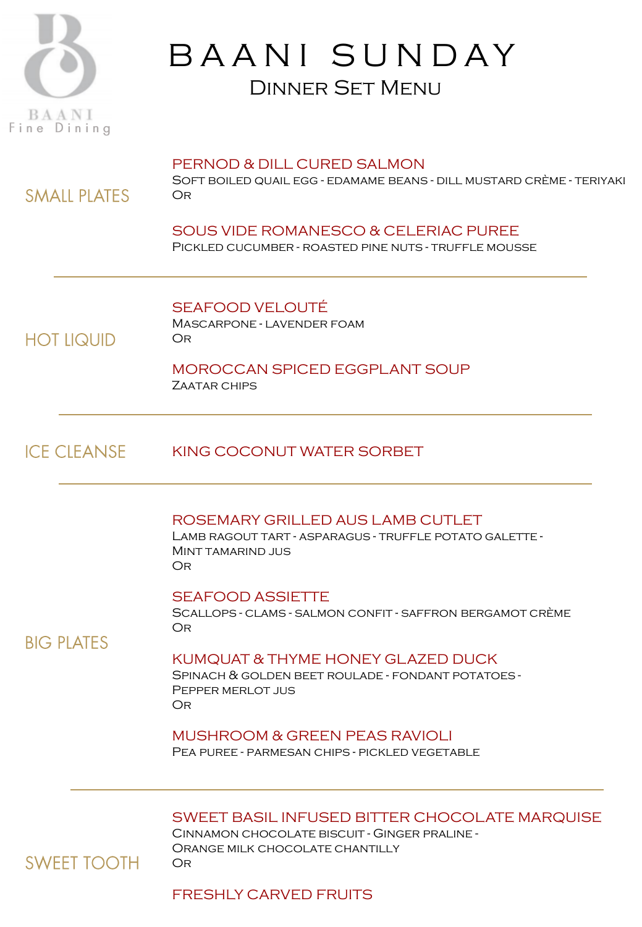

# B A A N I S U N D A Y Dinner Set Menu

### PERNOD & DILL CURED SALMON

Soft boiled quail egg - edamame beans - dill mustard crème - teriyaki Or

### SOUS VIDE ROMANESCO & CELERIAC PUREE Pickled cucumber - roasted pine nuts - truffle mousse

SEAFOOD VELOUTÉ Mascarpone - lavender foam Or

### **HOT LIQUID**

**SMALL PLATES** 

MOROCCAN SPICED EGGPLANT SOUP Zaatar chips

#### **ICE CLEANSE** KING COCONUT WATER SORBET

### ROSEMARY GRILLED AUS LAMB CUTLET

Lamb ragout tart - asparagus - truffle potato galette - Mint tamarind jus Or

### SEAFOOD ASSIETTE

Scallops - clams - salmon confit - saffron bergamot crème Or

### **BIG PLATES**

### KUMQUAT & THYME HONEY GLAZED DUCK

Spinach & golden beet roulade - fondant potatoes - Pepper merlot jus Or

### MUSHROOM & GREEN PEAS RAVIOLI

Pea puree - parmesan chips - pickled vegetable

### SWEET BASIL INFUSED BITTER CHOCOLATE MARQUISE

Cinnamon chocolate biscuit - Ginger praline - Orange milk chocolate chantilly Or

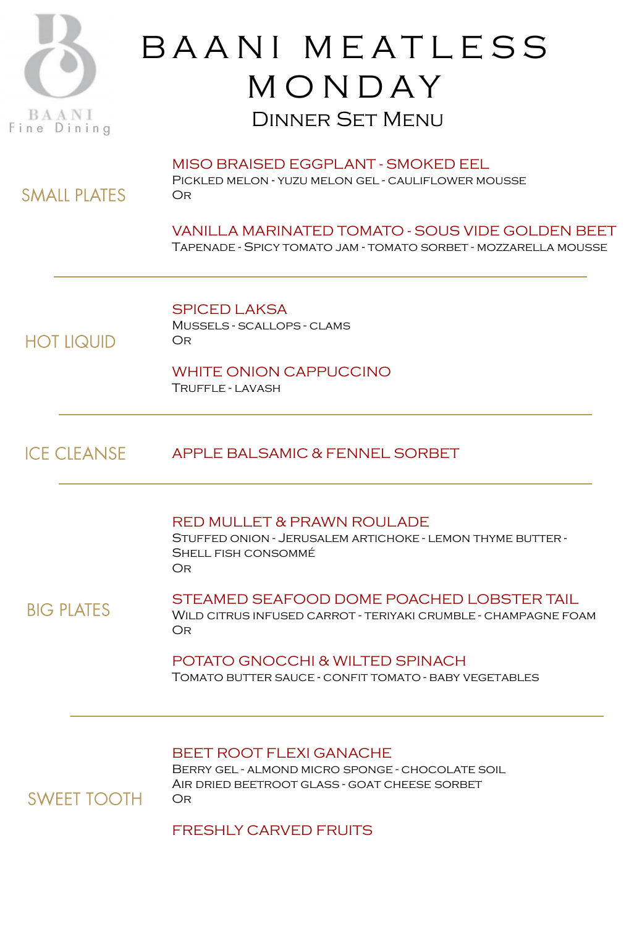

**SMALL PLATES** 

**HOT LIQUID** 

**SWEET TOOTH** 

# B A A N I M E A T L E S S **MONDAY** Dinner Set Menu

MISO BRAISED EGGPLANT - SMOKED EEL Pickled melon - yuzu melon gel - cauliflower mousse Or

VANILLA MARINATED TOMATO - SOUS VIDE GOLDEN BEET Tapenade - Spicy tomato jam - tomato sorbet - mozzarella mousse

SPICED LAKSA Mussels - scallops - clams Or

WHITE ONION CAPPUCCINO

Truffle - lavash

**ICE CLEANSE** APPLE BALSAMIC & FENNEL SORBET

RED MULLET & PRAWN ROULADE

Stuffed onion - Jerusalem artichoke - lemon thyme butter - Shell fish consommé Or

STEAMED SEAFOOD DOME POACHED LOBSTER TAIL **BIG PLATES** Wild citrus infused carrot - teriyaki crumble - champagne foam Or

> POTATO GNOCCHI & WILTED SPINACH Tomato butter sauce - confit tomato - baby vegetables

### BEET ROOT FLEXI GANACHE

Berry gel - almond micro sponge - chocolate soil Air dried beetroot glass - goat cheese sorbet Or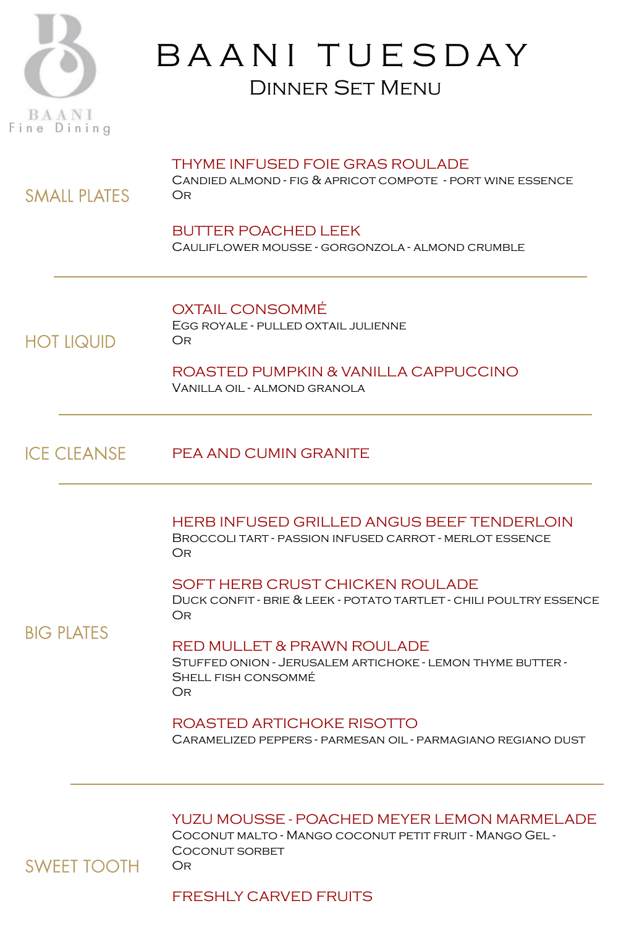

# BAANI TUESDAY Dinner Set Menu

### THYME INFUSED FOIE GRAS ROULADE

Candied almond - fig & apricot compote - port wine essence Or

# BUTTER POACHED LEEK

Cauliflower mousse - gorgonzola - almond crumble

#### OXTAIL CONSOMMÉ Egg royale - pulled oxtail julienne Or

**HOT LIQUID** 

**SMALL PLATES** 

ROASTED PUMPKIN & VANILLA CAPPUCCINO Vanilla oil - almond granola

#### **ICE CLEANSE** PEA AND CUMIN GRANITE

HERB INFUSED GRILLED ANGUS BEEF TENDERLOIN Broccoli tart - passion infused carrot - merlot essence Or

SOFT HERB CRUST CHICKEN ROULADE

Duck confit - brie & leek - potato tartlet - chili poultry essence Or

## **BIG PLATES**

### RED MULLET & PRAWN ROULADE

Stuffed onion - Jerusalem artichoke - lemon thyme butter - Shell fish consommé Or

### ROASTED ARTICHOKE RISOTTO

Caramelized peppers - parmesan oil - parmagiano regiano dust

YUZU MOUSSE - POACHED MEYER LEMON MARMELADE

Coconut malto - Mango coconut petit fruit - Mango Gel - COCONUT SORBET Or

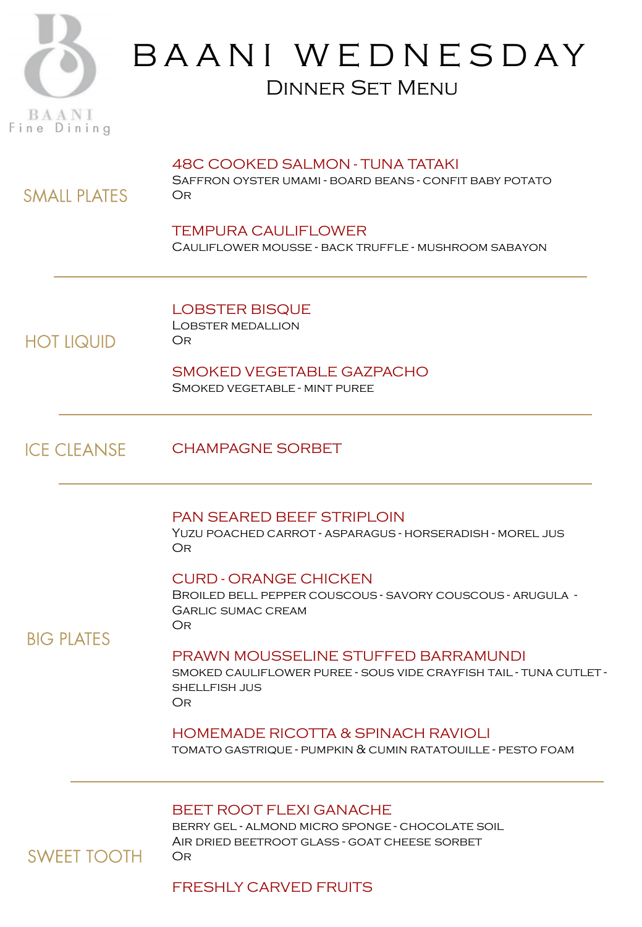

# B A A N I W E D N E S D A Y Dinner Set Menu

### 48C COOKED SALMON - TUNA TATAKI

Saffron oyster umami - board beans - confit baby potato Or

### TEMPURA CAULIFLOWER Cauliflower mousse - back truffle - mushroom sabayon

LOBSTER BISQUE Lobster medallion Or

**HOT LIQUID** 

**SMALL PLATES** 

SMOKED VEGETABLE GAZPACHO Smoked vegetable - mint puree

**ICE CLEANSE** CHAMPAGNE SORBET

### PAN SEARED BEEF STRIPLOIN

Yuzu poached carrot - asparagus - horseradish - morel jus Or

### CURD - ORANGE CHICKEN

Broiled bell pepper couscous - savory couscous - arugula - Garlic sumac cream Or

**BIG PLATES** 

### PRAWN MOUSSELINE STUFFED BARRAMUNDI

smoked cauliflower puree - sous vide crayfish tail - tuna cutlet shellfish jus Or

### HOMEMADE RICOTTA & SPINACH RAVIOLI

tomato gastrique - pumpkin & cumin ratatouille - pesto foam

### BEET ROOT FLEXI GANACHE

berry gel - almond micro sponge - chocolate soil Air dried beetroot glass - goat cheese sorbet Or

## **SWEET TOOTH**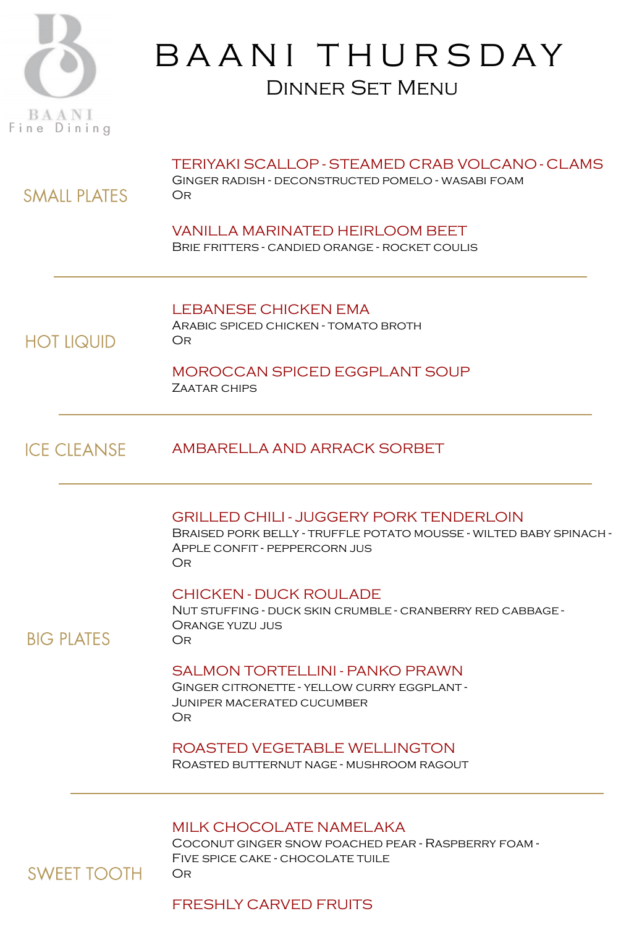

**SMALL PLATES** 

**HOT LIQUID** 

# B A A N I T H U R S D A Y Dinner Set Menu

### TERIYAKI SCALLOP - STEAMED CRAB VOLCANO - CLAMS

Ginger radish - deconstructed pomelo - wasabi foam Or

VANILLA MARINATED HEIRLOOM BEET Brie fritters - candied orange - rocket coulis

LEBANESE CHICKEN EMA Arabic spiced chicken - tomato broth Or

# MOROCCAN SPICED EGGPLANT SOUP

ZAATAR CHIPS

#### **ICE CLEANSE** AMBARELLA AND ARRACK SORBET

### GRILLED CHILI - JUGGERY PORK TENDERLOIN

Braised pork belly - truffle potato mousse - wilted baby spinach - Apple confit - peppercorn jus Or

### CHICKEN - DUCK ROULADE

Nut stuffing - duck skin crumble - cranberry red cabbage - Orange yuzu jus Or

### **BIG PLATES**

### SALMON TORTELLINI - PANKO PRAWN

Ginger citronette - yellow curry eggplant - Juniper macerated cucumber Or

### ROASTED VEGETABLE WELLINGTON

Roasted butternut nage - mushroom ragout

### MILK CHOCOLATE NAMELAKA

Coconut ginger snow poached pear - Raspberry foam - Five spice cake - chocolate tuile Or

## **SWEET TOOTH**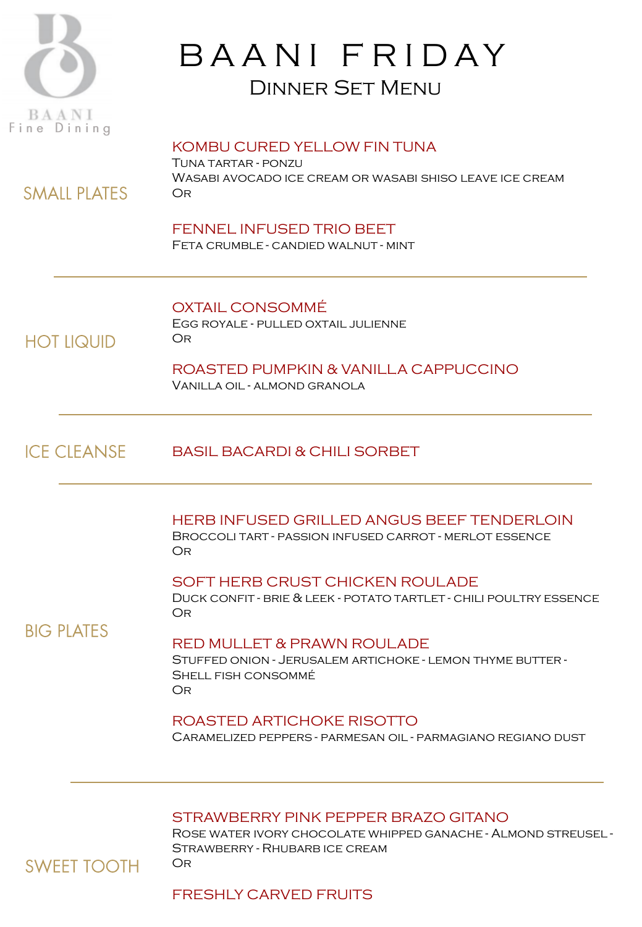

**SMAIL PLATES** 

**HOT LIQUID** 

# B A A N I F R I D A Y Dinner Set Menu

### KOMBU CURED YELLOW FIN TUNA

Tuna tartar - ponzu Wasabi avocado ice cream or wasabi shiso leave ice cream **OR** 

### FENNEL INFUSED TRIO BEET

Feta crumble - candied walnut - mint

## OXTAIL CONSOMMÉ

Egg royale - pulled oxtail julienne Or

ROASTED PUMPKIN & VANILLA CAPPUCCINO Vanilla oil - almond granola

#### **ICE CLEANSE** BASIL BACARDI & CHILI SORBET

HERB INFUSED GRILLED ANGUS BEEF TENDERLOIN Broccoli tart - passion infused carrot - merlot essence Or

SOFT HERB CRUST CHICKEN ROULADE

Duck confit - brie & leek - potato tartlet - chili poultry essence Or

## **BIG PLATES**

### RED MULLET & PRAWN ROULADE

Stuffed onion - Jerusalem artichoke - lemon thyme butter - Shell fish consommé Or

### ROASTED ARTICHOKE RISOTTO

Caramelized peppers - parmesan oil - parmagiano regiano dust

### STRAWBERRY PINK PEPPER BRAZO GITANO

Rose water ivory chocolate whipped ganache - Almond streusel - Strawberry - Rhubarb ice cream Or

## **SWEET TOOTH**